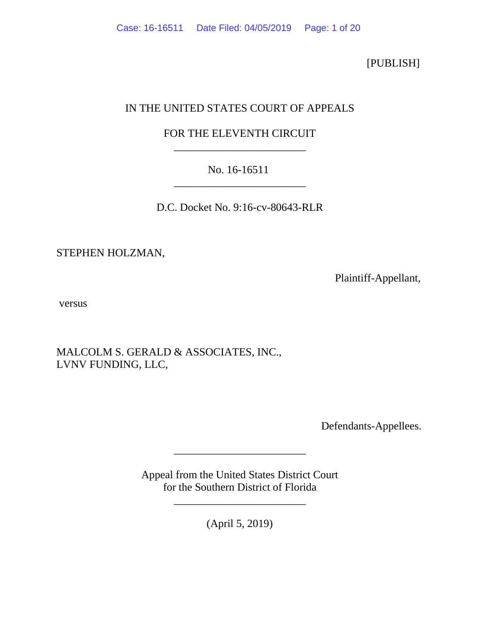[PUBLISH]

# IN THE UNITED STATES COURT OF APPEALS

## FOR THE ELEVENTH CIRCUIT \_\_\_\_\_\_\_\_\_\_\_\_\_\_\_\_\_\_\_\_\_\_\_\_

## No. 16-16511 \_\_\_\_\_\_\_\_\_\_\_\_\_\_\_\_\_\_\_\_\_\_\_\_

D.C. Docket No. 9:16-cv-80643-RLR

STEPHEN HOLZMAN,

Plaintiff-Appellant,

versus

MALCOLM S. GERALD & ASSOCIATES, INC., LVNV FUNDING, LLC,

Defendants-Appellees.

Appeal from the United States District Court for the Southern District of Florida

\_\_\_\_\_\_\_\_\_\_\_\_\_\_\_\_\_\_\_\_\_\_\_\_

(April 5, 2019)

\_\_\_\_\_\_\_\_\_\_\_\_\_\_\_\_\_\_\_\_\_\_\_\_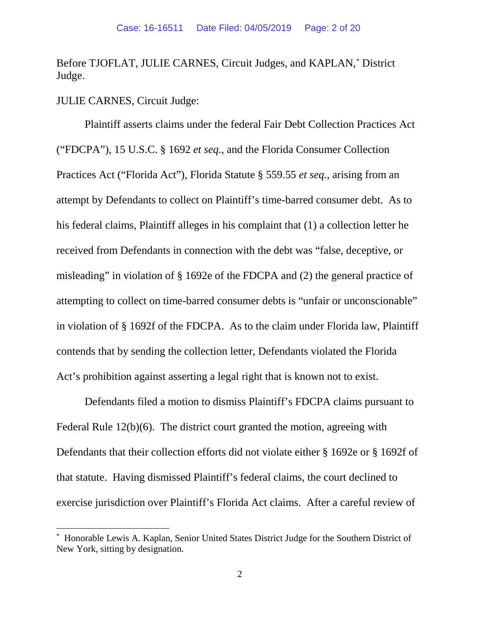Before TJOFLAT, JULIE CARNES, Circuit Judges, and KAPLAN,[\\*](#page-1-0) District Judge.

JULIE CARNES, Circuit Judge:

Plaintiff asserts claims under the federal Fair Debt Collection Practices Act ("FDCPA"), 15 U.S.C. § 1692 *et seq.*, and the Florida Consumer Collection Practices Act ("Florida Act"), Florida Statute § 559.55 *et seq.*, arising from an attempt by Defendants to collect on Plaintiff's time-barred consumer debt. As to his federal claims, Plaintiff alleges in his complaint that (1) a collection letter he received from Defendants in connection with the debt was "false, deceptive, or misleading" in violation of § 1692e of the FDCPA and (2) the general practice of attempting to collect on time-barred consumer debts is "unfair or unconscionable" in violation of § 1692f of the FDCPA. As to the claim under Florida law, Plaintiff contends that by sending the collection letter, Defendants violated the Florida Act's prohibition against asserting a legal right that is known not to exist.

Defendants filed a motion to dismiss Plaintiff's FDCPA claims pursuant to Federal Rule 12(b)(6). The district court granted the motion, agreeing with Defendants that their collection efforts did not violate either § 1692e or § 1692f of that statute. Having dismissed Plaintiff's federal claims, the court declined to exercise jurisdiction over Plaintiff's Florida Act claims. After a careful review of

<span id="page-1-0"></span> <sup>\*</sup> Honorable Lewis A. Kaplan, Senior United States District Judge for the Southern District of New York, sitting by designation.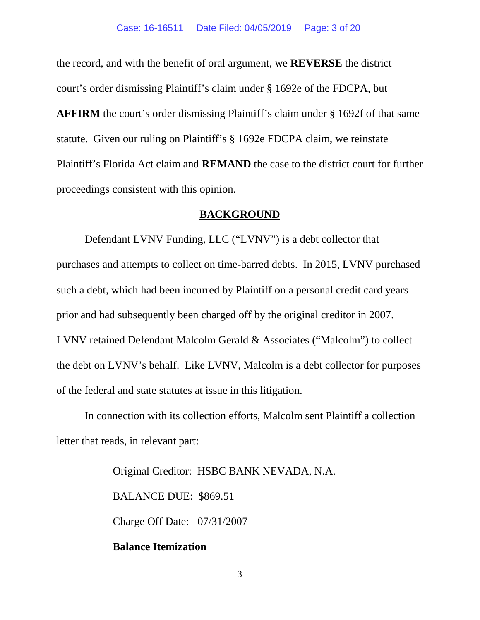the record, and with the benefit of oral argument, we **REVERSE** the district court's order dismissing Plaintiff's claim under § 1692e of the FDCPA, but **AFFIRM** the court's order dismissing Plaintiff's claim under § 1692f of that same statute. Given our ruling on Plaintiff's § 1692e FDCPA claim, we reinstate Plaintiff's Florida Act claim and **REMAND** the case to the district court for further proceedings consistent with this opinion.

#### **BACKGROUND**

Defendant LVNV Funding, LLC ("LVNV") is a debt collector that purchases and attempts to collect on time-barred debts. In 2015, LVNV purchased such a debt, which had been incurred by Plaintiff on a personal credit card years prior and had subsequently been charged off by the original creditor in 2007. LVNV retained Defendant Malcolm Gerald & Associates ("Malcolm") to collect the debt on LVNV's behalf. Like LVNV, Malcolm is a debt collector for purposes of the federal and state statutes at issue in this litigation.

In connection with its collection efforts, Malcolm sent Plaintiff a collection letter that reads, in relevant part:

> Original Creditor: HSBC BANK NEVADA, N.A. BALANCE DUE: \$869.51 Charge Off Date: 07/31/2007

## **Balance Itemization**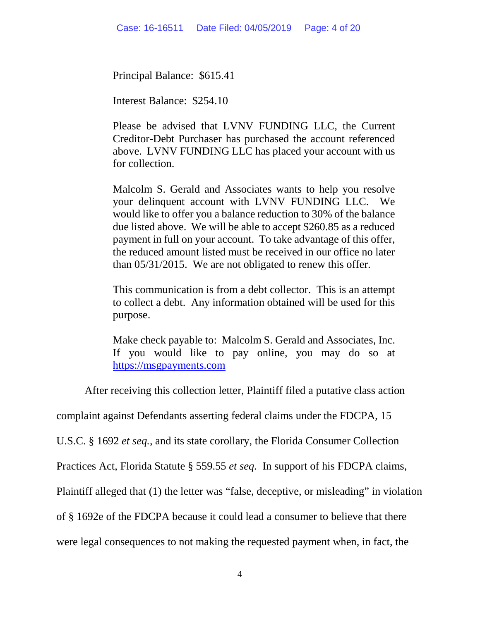Principal Balance: \$615.41

Interest Balance: \$254.10

Please be advised that LVNV FUNDING LLC, the Current Creditor-Debt Purchaser has purchased the account referenced above. LVNV FUNDING LLC has placed your account with us for collection.

Malcolm S. Gerald and Associates wants to help you resolve your delinquent account with LVNV FUNDING LLC. We would like to offer you a balance reduction to 30% of the balance due listed above. We will be able to accept \$260.85 as a reduced payment in full on your account. To take advantage of this offer, the reduced amount listed must be received in our office no later than 05/31/2015. We are not obligated to renew this offer.

This communication is from a debt collector. This is an attempt to collect a debt. Any information obtained will be used for this purpose.

Make check payable to: Malcolm S. Gerald and Associates, Inc. If you would like to pay online, you may do so at [https://msgpayments.com](https://msgpayments.com/)

After receiving this collection letter, Plaintiff filed a putative class action

complaint against Defendants asserting federal claims under the FDCPA, 15

U.S.C. § 1692 *et seq.*, and its state corollary, the Florida Consumer Collection

Practices Act, Florida Statute § 559.55 *et seq.* In support of his FDCPA claims,

Plaintiff alleged that (1) the letter was "false, deceptive, or misleading" in violation

of § 1692e of the FDCPA because it could lead a consumer to believe that there

were legal consequences to not making the requested payment when, in fact, the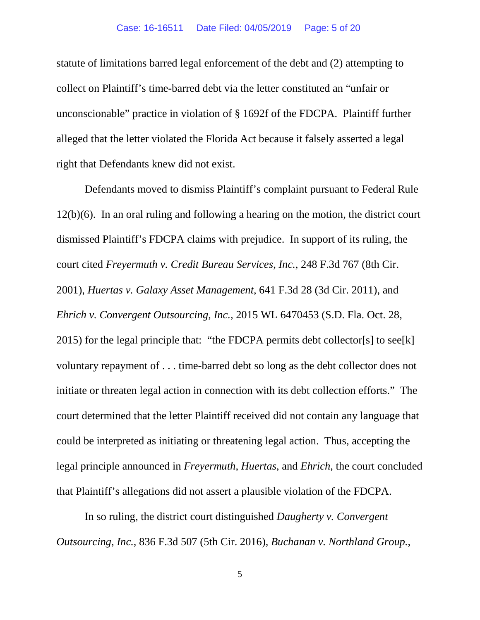statute of limitations barred legal enforcement of the debt and (2) attempting to collect on Plaintiff's time-barred debt via the letter constituted an "unfair or unconscionable" practice in violation of § 1692f of the FDCPA. Plaintiff further alleged that the letter violated the Florida Act because it falsely asserted a legal right that Defendants knew did not exist.

Defendants moved to dismiss Plaintiff's complaint pursuant to Federal Rule 12(b)(6). In an oral ruling and following a hearing on the motion, the district court dismissed Plaintiff's FDCPA claims with prejudice. In support of its ruling, the court cited *Freyermuth v. Credit Bureau Services*, *Inc.*, 248 F.3d 767 (8th Cir. 2001), *Huertas v. Galaxy Asset Management*, 641 F.3d 28 (3d Cir. 2011), and *Ehrich v. Convergent Outsourcing*, *Inc.*, 2015 WL 6470453 (S.D. Fla. Oct. 28, 2015) for the legal principle that: "the FDCPA permits debt collector[s] to see[k] voluntary repayment of . . . time-barred debt so long as the debt collector does not initiate or threaten legal action in connection with its debt collection efforts." The court determined that the letter Plaintiff received did not contain any language that could be interpreted as initiating or threatening legal action. Thus, accepting the legal principle announced in *Freyermuth*, *Huertas*, and *Ehrich*, the court concluded that Plaintiff's allegations did not assert a plausible violation of the FDCPA.

In so ruling, the district court distinguished *Daugherty v. Convergent Outsourcing*, *Inc.*, 836 F.3d 507 (5th Cir. 2016), *Buchanan v. Northland Group.*,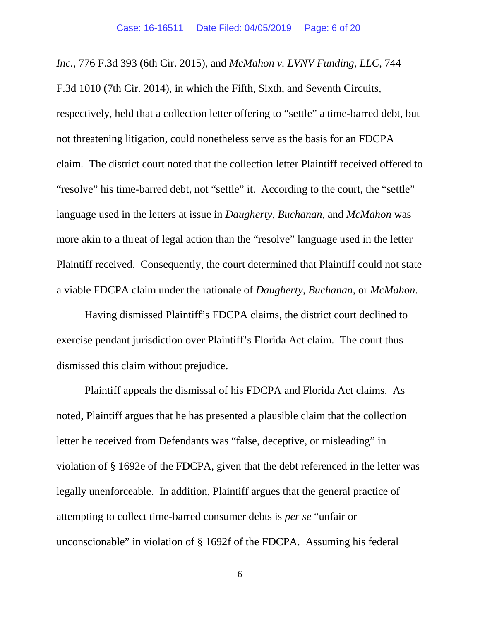*Inc.*, 776 F.3d 393 (6th Cir. 2015), and *McMahon v. LVNV Funding, LLC*, 744 F.3d 1010 (7th Cir. 2014), in which the Fifth, Sixth, and Seventh Circuits, respectively, held that a collection letter offering to "settle" a time-barred debt, but not threatening litigation, could nonetheless serve as the basis for an FDCPA claim. The district court noted that the collection letter Plaintiff received offered to "resolve" his time-barred debt, not "settle" it. According to the court, the "settle" language used in the letters at issue in *Daugherty*, *Buchanan*, and *McMahon* was more akin to a threat of legal action than the "resolve" language used in the letter Plaintiff received. Consequently, the court determined that Plaintiff could not state a viable FDCPA claim under the rationale of *Daugherty*, *Buchanan*, or *McMahon*.

Having dismissed Plaintiff's FDCPA claims, the district court declined to exercise pendant jurisdiction over Plaintiff's Florida Act claim. The court thus dismissed this claim without prejudice.

Plaintiff appeals the dismissal of his FDCPA and Florida Act claims. As noted, Plaintiff argues that he has presented a plausible claim that the collection letter he received from Defendants was "false, deceptive, or misleading" in violation of § 1692e of the FDCPA, given that the debt referenced in the letter was legally unenforceable. In addition, Plaintiff argues that the general practice of attempting to collect time-barred consumer debts is *per se* "unfair or unconscionable" in violation of § 1692f of the FDCPA. Assuming his federal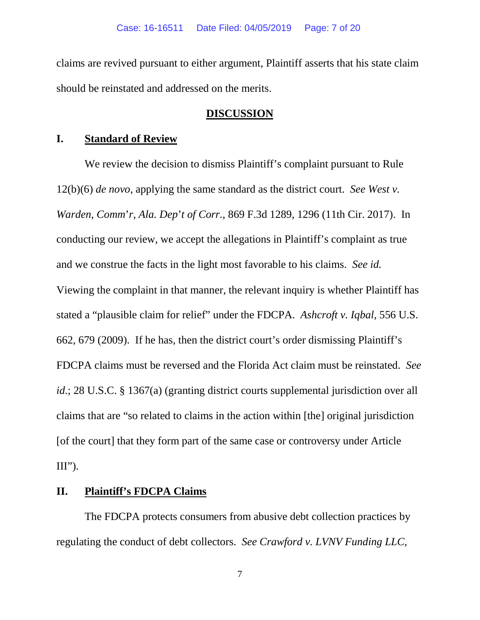claims are revived pursuant to either argument, Plaintiff asserts that his state claim should be reinstated and addressed on the merits.

## **DISCUSSION**

#### **I. Standard of Review**

We review the decision to dismiss Plaintiff's complaint pursuant to Rule 12(b)(6) *de novo*, applying the same standard as the district court. *See West v. Warden*, *Comm*'*r*, *Ala. Dep*'*t of Corr.*, 869 F.3d 1289, 1296 (11th Cir. 2017). In conducting our review, we accept the allegations in Plaintiff's complaint as true and we construe the facts in the light most favorable to his claims. *See id.*  Viewing the complaint in that manner, the relevant inquiry is whether Plaintiff has stated a "plausible claim for relief" under the FDCPA. *Ashcroft v. Iqbal*, 556 U.S. 662, 679 (2009). If he has, then the district court's order dismissing Plaintiff's FDCPA claims must be reversed and the Florida Act claim must be reinstated. *See id.*; 28 U.S.C. § 1367(a) (granting district courts supplemental jurisdiction over all claims that are "so related to claims in the action within [the] original jurisdiction [of the court] that they form part of the same case or controversy under Article  $III$ ").

### **II. Plaintiff's FDCPA Claims**

The FDCPA protects consumers from abusive debt collection practices by regulating the conduct of debt collectors. *See Crawford v. LVNV Funding LLC*,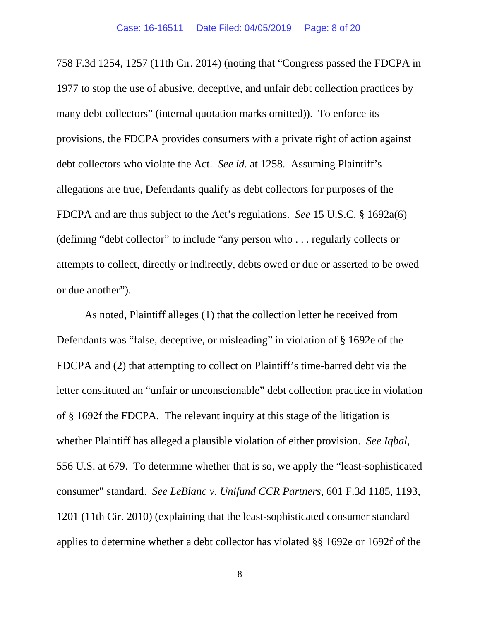758 F.3d 1254, 1257 (11th Cir. 2014) (noting that "Congress passed the FDCPA in 1977 to stop the use of abusive, deceptive, and unfair debt collection practices by many debt collectors" (internal quotation marks omitted)). To enforce its provisions, the FDCPA provides consumers with a private right of action against debt collectors who violate the Act. *See id.* at 1258.Assuming Plaintiff's allegations are true, Defendants qualify as debt collectors for purposes of the FDCPA and are thus subject to the Act's regulations. *See* 15 U.S.C. § 1692a(6) (defining "debt collector" to include "any person who . . . regularly collects or attempts to collect, directly or indirectly, debts owed or due or asserted to be owed or due another").

As noted, Plaintiff alleges (1) that the collection letter he received from Defendants was "false, deceptive, or misleading" in violation of § 1692e of the FDCPA and (2) that attempting to collect on Plaintiff's time-barred debt via the letter constituted an "unfair or unconscionable" debt collection practice in violation of § 1692f the FDCPA. The relevant inquiry at this stage of the litigation is whether Plaintiff has alleged a plausible violation of either provision. *See Iqbal*, 556 U.S. at 679. To determine whether that is so, we apply the "least-sophisticated consumer" standard. *See LeBlanc v. Unifund CCR Partners*, 601 F.3d 1185, 1193, 1201 (11th Cir. 2010) (explaining that the least-sophisticated consumer standard applies to determine whether a debt collector has violated §§ 1692e or 1692f of the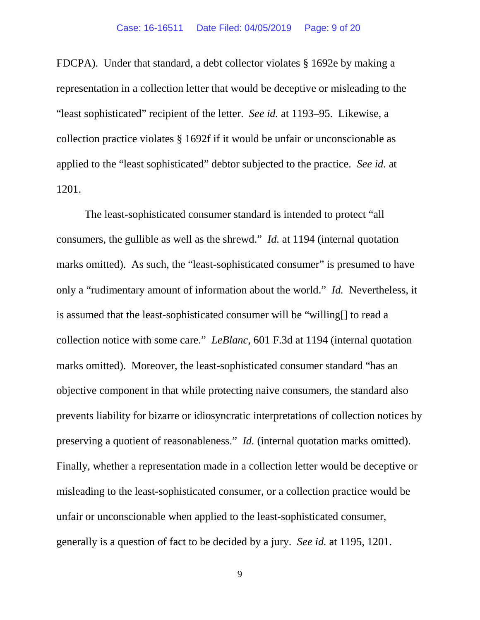FDCPA). Under that standard, a debt collector violates § 1692e by making a representation in a collection letter that would be deceptive or misleading to the "least sophisticated" recipient of the letter. *See id.* at 1193–95. Likewise, a collection practice violates § 1692f if it would be unfair or unconscionable as applied to the "least sophisticated" debtor subjected to the practice. *See id.* at 1201.

The least-sophisticated consumer standard is intended to protect "all consumers, the gullible as well as the shrewd." *Id.* at 1194 (internal quotation marks omitted). As such, the "least-sophisticated consumer" is presumed to have only a "rudimentary amount of information about the world." *Id.* Nevertheless, it is assumed that the least-sophisticated consumer will be "willing[] to read a collection notice with some care." *LeBlanc*, 601 F.3d at 1194 (internal quotation marks omitted). Moreover, the least-sophisticated consumer standard "has an objective component in that while protecting naive consumers, the standard also prevents liability for bizarre or idiosyncratic interpretations of collection notices by preserving a quotient of reasonableness." *Id.* (internal quotation marks omitted). Finally, whether a representation made in a collection letter would be deceptive or misleading to the least-sophisticated consumer, or a collection practice would be unfair or unconscionable when applied to the least-sophisticated consumer, generally is a question of fact to be decided by a jury. *See id.* at 1195, 1201.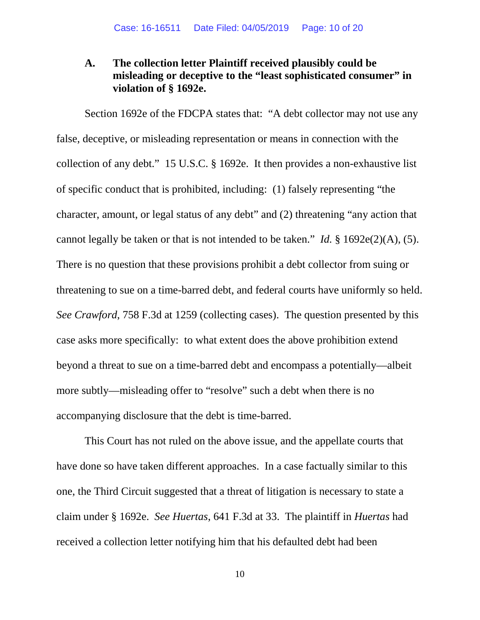## **A. The collection letter Plaintiff received plausibly could be misleading or deceptive to the "least sophisticated consumer" in violation of § 1692e.**

Section 1692e of the FDCPA states that: "A debt collector may not use any false, deceptive, or misleading representation or means in connection with the collection of any debt." 15 U.S.C. § 1692e. It then provides a non-exhaustive list of specific conduct that is prohibited, including: (1) falsely representing "the character, amount, or legal status of any debt" and (2) threatening "any action that cannot legally be taken or that is not intended to be taken." *Id.* § 1692e(2)(A), (5). There is no question that these provisions prohibit a debt collector from suing or threatening to sue on a time-barred debt, and federal courts have uniformly so held. *See Crawford*, 758 F.3d at 1259 (collecting cases). The question presented by this case asks more specifically: to what extent does the above prohibition extend beyond a threat to sue on a time-barred debt and encompass a potentially—albeit more subtly—misleading offer to "resolve" such a debt when there is no accompanying disclosure that the debt is time-barred.

This Court has not ruled on the above issue, and the appellate courts that have done so have taken different approaches. In a case factually similar to this one, the Third Circuit suggested that a threat of litigation is necessary to state a claim under § 1692e. *See Huertas*, 641 F.3d at 33. The plaintiff in *Huertas* had received a collection letter notifying him that his defaulted debt had been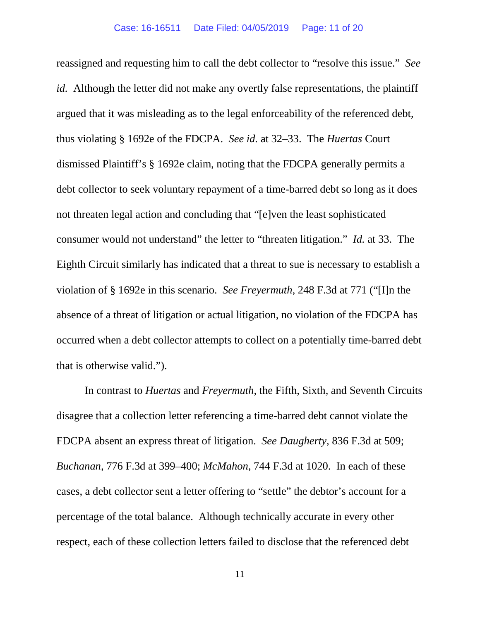reassigned and requesting him to call the debt collector to "resolve this issue." *See id.* Although the letter did not make any overtly false representations, the plaintiff argued that it was misleading as to the legal enforceability of the referenced debt, thus violating § 1692e of the FDCPA. *See id.* at 32–33. The *Huertas* Court dismissed Plaintiff's § 1692e claim, noting that the FDCPA generally permits a debt collector to seek voluntary repayment of a time-barred debt so long as it does not threaten legal action and concluding that "[e]ven the least sophisticated consumer would not understand" the letter to "threaten litigation." *Id.* at 33. The Eighth Circuit similarly has indicated that a threat to sue is necessary to establish a violation of § 1692e in this scenario. *See Freyermuth*, 248 F.3d at 771 ("[I]n the absence of a threat of litigation or actual litigation, no violation of the FDCPA has occurred when a debt collector attempts to collect on a potentially time-barred debt that is otherwise valid.").

In contrast to *Huertas* and *Freyermuth*, the Fifth, Sixth, and Seventh Circuits disagree that a collection letter referencing a time-barred debt cannot violate the FDCPA absent an express threat of litigation. *See Daugherty*, 836 F.3d at 509; *Buchanan*, 776 F.3d at 399–400; *McMahon*, 744 F.3d at 1020. In each of these cases, a debt collector sent a letter offering to "settle" the debtor's account for a percentage of the total balance. Although technically accurate in every other respect, each of these collection letters failed to disclose that the referenced debt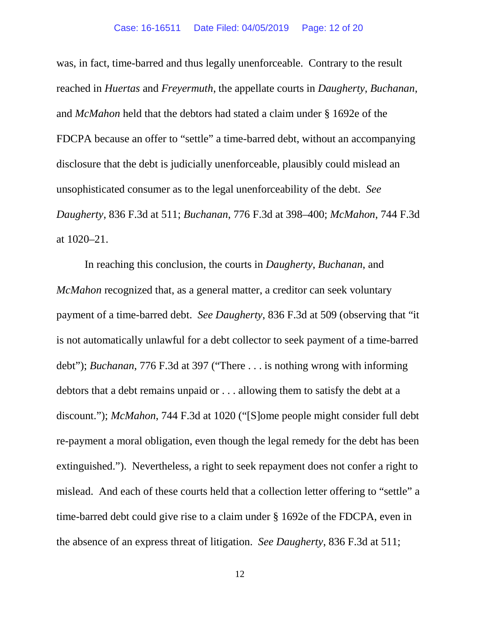was, in fact, time-barred and thus legally unenforceable. Contrary to the result reached in *Huertas* and *Freyermuth*, the appellate courts in *Daugherty*, *Buchanan*, and *McMahon* held that the debtors had stated a claim under § 1692e of the FDCPA because an offer to "settle" a time-barred debt, without an accompanying disclosure that the debt is judicially unenforceable, plausibly could mislead an unsophisticated consumer as to the legal unenforceability of the debt. *See Daugherty*, 836 F.3d at 511; *Buchanan*, 776 F.3d at 398–400; *McMahon*, 744 F.3d at 1020–21.

In reaching this conclusion, the courts in *Daugherty*, *Buchanan*, and *McMahon* recognized that, as a general matter, a creditor can seek voluntary payment of a time-barred debt. *See Daugherty*, 836 F.3d at 509 (observing that "it is not automatically unlawful for a debt collector to seek payment of a time-barred debt"); *Buchanan*, 776 F.3d at 397 ("There . . . is nothing wrong with informing debtors that a debt remains unpaid or . . . allowing them to satisfy the debt at a discount."); *McMahon*, 744 F.3d at 1020 ("[S]ome people might consider full debt re-payment a moral obligation, even though the legal remedy for the debt has been extinguished."). Nevertheless, a right to seek repayment does not confer a right to mislead. And each of these courts held that a collection letter offering to "settle" a time-barred debt could give rise to a claim under § 1692e of the FDCPA, even in the absence of an express threat of litigation. *See Daugherty*, 836 F.3d at 511;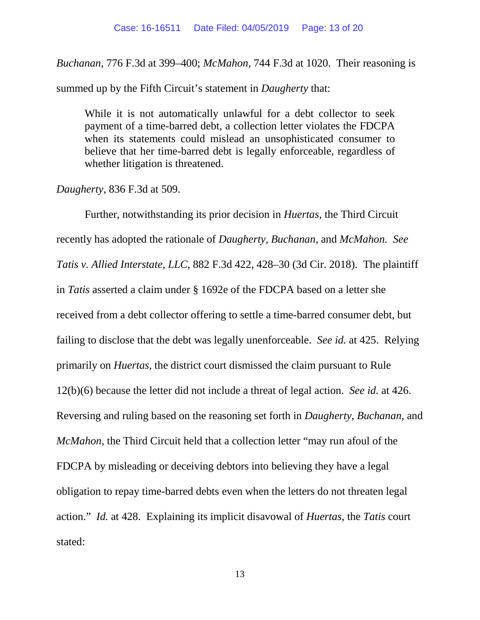*Buchanan*, 776 F.3d at 399–400; *McMahon*, 744 F.3d at 1020. Their reasoning is

summed up by the Fifth Circuit's statement in *Daugherty* that:

While it is not automatically unlawful for a debt collector to seek payment of a time-barred debt, a collection letter violates the FDCPA when its statements could mislead an unsophisticated consumer to believe that her time-barred debt is legally enforceable, regardless of whether litigation is threatened.

*Daugherty*, 836 F.3d at 509.

Further, notwithstanding its prior decision in *Huertas*, the Third Circuit recently has adopted the rationale of *Daugherty*, *Buchanan*, and *McMahon. See Tatis v. Allied Interstate*, *LLC*, 882 F.3d 422, 428–30 (3d Cir. 2018). The plaintiff in *Tatis* asserted a claim under § 1692e of the FDCPA based on a letter she received from a debt collector offering to settle a time-barred consumer debt, but failing to disclose that the debt was legally unenforceable. *See id.* at 425. Relying primarily on *Huertas*, the district court dismissed the claim pursuant to Rule 12(b)(6) because the letter did not include a threat of legal action. *See id.* at 426. Reversing and ruling based on the reasoning set forth in *Daugherty*, *Buchanan*, and *McMahon*, the Third Circuit held that a collection letter "may run afoul of the FDCPA by misleading or deceiving debtors into believing they have a legal obligation to repay time-barred debts even when the letters do not threaten legal action." *Id.* at 428. Explaining its implicit disavowal of *Huertas*, the *Tatis* court stated: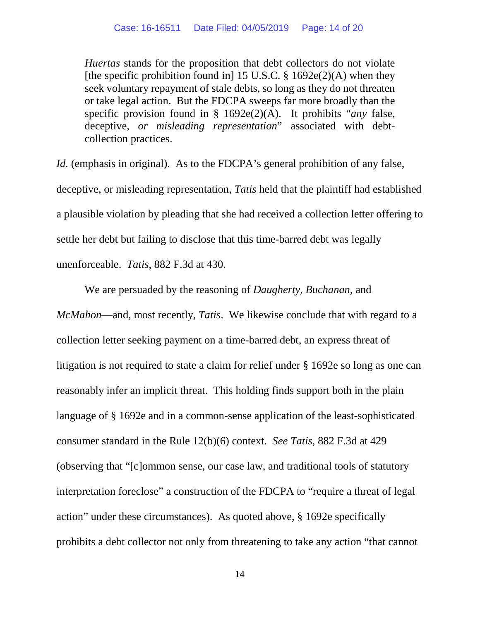*Huertas* stands for the proposition that debt collectors do not violate [the specific prohibition found in] 15 U.S.C.  $\S$  1692e(2)(A) when they seek voluntary repayment of stale debts, so long as they do not threaten or take legal action. But the FDCPA sweeps far more broadly than the specific provision found in § 1692e(2)(A). It prohibits "*any* false, deceptive, *or misleading representation*" associated with debtcollection practices.

*Id.* (emphasis in original). As to the FDCPA's general prohibition of any false, deceptive, or misleading representation, *Tatis* held that the plaintiff had established a plausible violation by pleading that she had received a collection letter offering to settle her debt but failing to disclose that this time-barred debt was legally unenforceable. *Tatis*, 882 F.3d at 430.

We are persuaded by the reasoning of *Daugherty*, *Buchanan*, and *McMahon*—and, most recently, *Tatis*. We likewise conclude that with regard to a collection letter seeking payment on a time-barred debt, an express threat of litigation is not required to state a claim for relief under § 1692e so long as one can reasonably infer an implicit threat. This holding finds support both in the plain language of § 1692e and in a common-sense application of the least-sophisticated consumer standard in the Rule 12(b)(6) context. *See Tatis*, 882 F.3d at 429 (observing that "[c]ommon sense, our case law, and traditional tools of statutory interpretation foreclose" a construction of the FDCPA to "require a threat of legal action" under these circumstances).As quoted above, § 1692e specifically prohibits a debt collector not only from threatening to take any action "that cannot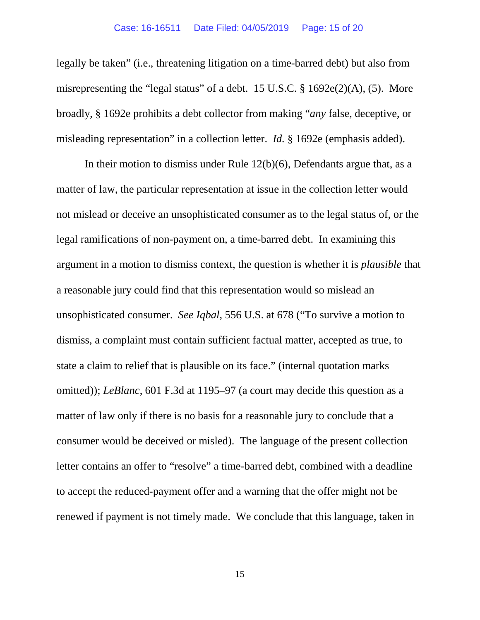legally be taken" (i.e., threatening litigation on a time-barred debt) but also from misrepresenting the "legal status" of a debt. 15 U.S.C. § 1692e(2)(A), (5). More broadly, § 1692e prohibits a debt collector from making "*any* false, deceptive, or misleading representation" in a collection letter. *Id.* § 1692e (emphasis added).

In their motion to dismiss under Rule 12(b)(6), Defendants argue that, as a matter of law, the particular representation at issue in the collection letter would not mislead or deceive an unsophisticated consumer as to the legal status of, or the legal ramifications of non-payment on, a time-barred debt. In examining this argument in a motion to dismiss context, the question is whether it is *plausible* that a reasonable jury could find that this representation would so mislead an unsophisticated consumer. *See Iqbal*, 556 U.S. at 678 ("To survive a motion to dismiss, a complaint must contain sufficient factual matter, accepted as true, to state a claim to relief that is plausible on its face." (internal quotation marks omitted)); *LeBlanc*, 601 F.3d at 1195–97 (a court may decide this question as a matter of law only if there is no basis for a reasonable jury to conclude that a consumer would be deceived or misled). The language of the present collection letter contains an offer to "resolve" a time-barred debt, combined with a deadline to accept the reduced-payment offer and a warning that the offer might not be renewed if payment is not timely made. We conclude that this language, taken in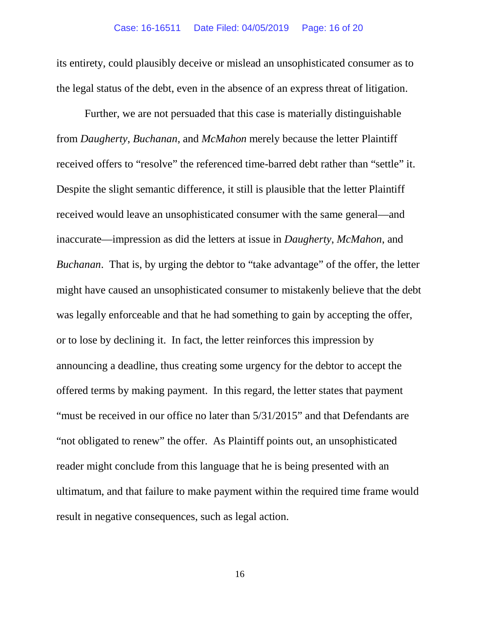its entirety, could plausibly deceive or mislead an unsophisticated consumer as to the legal status of the debt, even in the absence of an express threat of litigation.

Further, we are not persuaded that this case is materially distinguishable from *Daugherty*, *Buchanan*, and *McMahon* merely because the letter Plaintiff received offers to "resolve" the referenced time-barred debt rather than "settle" it. Despite the slight semantic difference, it still is plausible that the letter Plaintiff received would leave an unsophisticated consumer with the same general—and inaccurate—impression as did the letters at issue in *Daugherty*, *McMahon*, and *Buchanan*. That is, by urging the debtor to "take advantage" of the offer, the letter might have caused an unsophisticated consumer to mistakenly believe that the debt was legally enforceable and that he had something to gain by accepting the offer, or to lose by declining it. In fact, the letter reinforces this impression by announcing a deadline, thus creating some urgency for the debtor to accept the offered terms by making payment. In this regard, the letter states that payment "must be received in our office no later than 5/31/2015" and that Defendants are "not obligated to renew" the offer. As Plaintiff points out, an unsophisticated reader might conclude from this language that he is being presented with an ultimatum, and that failure to make payment within the required time frame would result in negative consequences, such as legal action.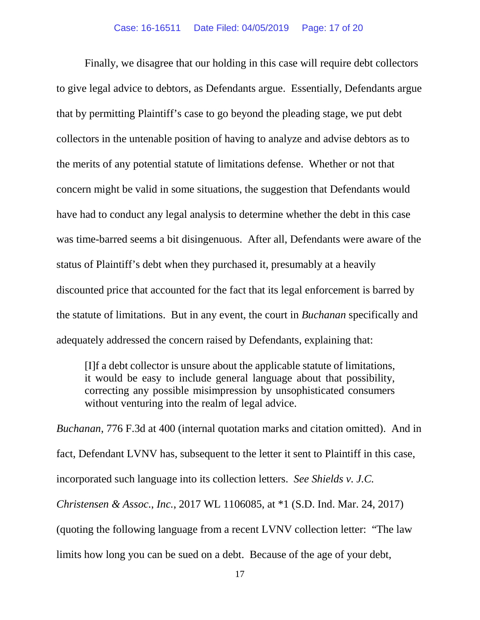Finally, we disagree that our holding in this case will require debt collectors to give legal advice to debtors, as Defendants argue. Essentially, Defendants argue that by permitting Plaintiff's case to go beyond the pleading stage, we put debt collectors in the untenable position of having to analyze and advise debtors as to the merits of any potential statute of limitations defense. Whether or not that concern might be valid in some situations, the suggestion that Defendants would have had to conduct any legal analysis to determine whether the debt in this case was time-barred seems a bit disingenuous. After all, Defendants were aware of the status of Plaintiff's debt when they purchased it, presumably at a heavily discounted price that accounted for the fact that its legal enforcement is barred by the statute of limitations. But in any event, the court in *Buchanan* specifically and adequately addressed the concern raised by Defendants, explaining that:

[I]f a debt collector is unsure about the applicable statute of limitations, it would be easy to include general language about that possibility, correcting any possible misimpression by unsophisticated consumers without venturing into the realm of legal advice.

*Buchanan*, 776 F.3d at 400 (internal quotation marks and citation omitted). And in fact, Defendant LVNV has, subsequent to the letter it sent to Plaintiff in this case, incorporated such language into its collection letters. *See Shields v. J.C. Christensen & Assoc.*, *Inc.*, 2017 WL 1106085, at \*1 (S.D. Ind. Mar. 24, 2017) (quoting the following language from a recent LVNV collection letter: "The law limits how long you can be sued on a debt. Because of the age of your debt,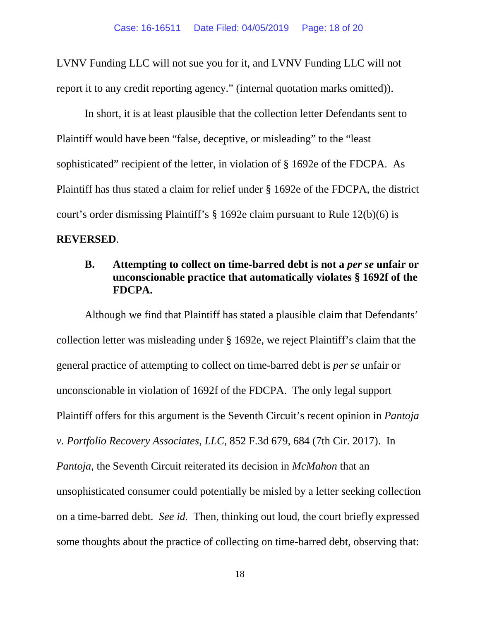LVNV Funding LLC will not sue you for it, and LVNV Funding LLC will not report it to any credit reporting agency." (internal quotation marks omitted)).

In short, it is at least plausible that the collection letter Defendants sent to Plaintiff would have been "false, deceptive, or misleading" to the "least sophisticated" recipient of the letter, in violation of § 1692e of the FDCPA. As Plaintiff has thus stated a claim for relief under § 1692e of the FDCPA, the district court's order dismissing Plaintiff's § 1692e claim pursuant to Rule 12(b)(6) is **REVERSED**.

## **B. Attempting to collect on time-barred debt is not a** *per se* **unfair or unconscionable practice that automatically violates § 1692f of the FDCPA.**

Although we find that Plaintiff has stated a plausible claim that Defendants' collection letter was misleading under § 1692e, we reject Plaintiff's claim that the general practice of attempting to collect on time-barred debt is *per se* unfair or unconscionable in violation of 1692f of the FDCPA. The only legal support Plaintiff offers for this argument is the Seventh Circuit's recent opinion in *Pantoja v. Portfolio Recovery Associates*, *LLC*, 852 F.3d 679, 684 (7th Cir. 2017). In *Pantoja*, the Seventh Circuit reiterated its decision in *McMahon* that an unsophisticated consumer could potentially be misled by a letter seeking collection on a time-barred debt. *See id.* Then, thinking out loud, the court briefly expressed some thoughts about the practice of collecting on time-barred debt, observing that: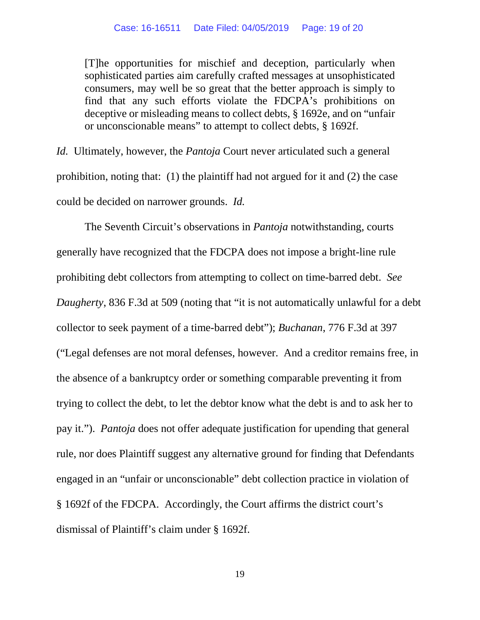[T]he opportunities for mischief and deception, particularly when sophisticated parties aim carefully crafted messages at unsophisticated consumers, may well be so great that the better approach is simply to find that any such efforts violate the FDCPA's prohibitions on deceptive or misleading means to collect debts, § 1692e, and on "unfair or unconscionable means" to attempt to collect debts, § 1692f.

*Id.* Ultimately, however, the *Pantoja* Court never articulated such a general prohibition, noting that: (1) the plaintiff had not argued for it and (2) the case could be decided on narrower grounds. *Id.* 

The Seventh Circuit's observations in *Pantoja* notwithstanding, courts generally have recognized that the FDCPA does not impose a bright-line rule prohibiting debt collectors from attempting to collect on time-barred debt. *See Daugherty*, 836 F.3d at 509 (noting that "it is not automatically unlawful for a debt collector to seek payment of a time-barred debt"); *Buchanan*, 776 F.3d at 397 ("Legal defenses are not moral defenses, however. And a creditor remains free, in the absence of a bankruptcy order or something comparable preventing it from trying to collect the debt, to let the debtor know what the debt is and to ask her to pay it."). *Pantoja* does not offer adequate justification for upending that general rule, nor does Plaintiff suggest any alternative ground for finding that Defendants engaged in an "unfair or unconscionable" debt collection practice in violation of § 1692f of the FDCPA. Accordingly, the Court affirms the district court's dismissal of Plaintiff's claim under § 1692f.